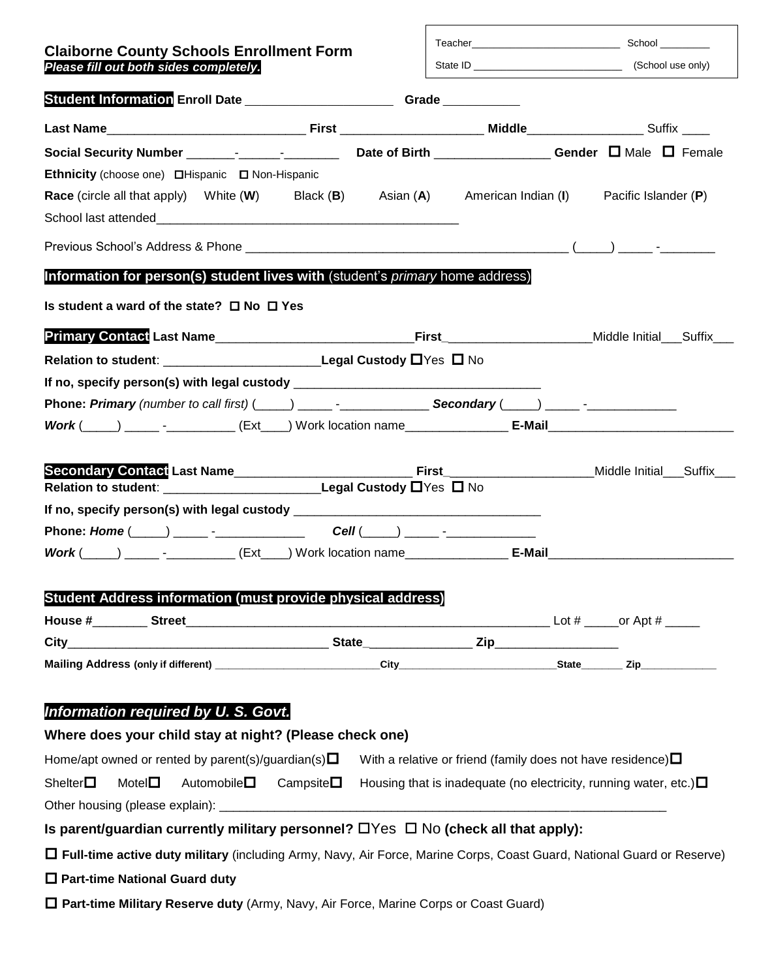| <b>Claiborne County Schools Enrollment Form</b>                                                                                                         |                    |  |                                                                         |  |  |  |
|---------------------------------------------------------------------------------------------------------------------------------------------------------|--------------------|--|-------------------------------------------------------------------------|--|--|--|
| Please fill out both sides completely.                                                                                                                  |                    |  |                                                                         |  |  |  |
|                                                                                                                                                         |                    |  |                                                                         |  |  |  |
|                                                                                                                                                         |                    |  |                                                                         |  |  |  |
| Social Security Number _________________________________Date of Birth __________________Gender □ Male □ Female                                          |                    |  |                                                                         |  |  |  |
| Ethnicity (choose one) <b>O</b> Hispanic <b>O</b> Non-Hispanic                                                                                          |                    |  |                                                                         |  |  |  |
| <b>Race</b> (circle all that apply) White ( <b>W</b> ) Black ( <b>B</b> ) Asian ( <b>A</b> ) American Indian ( <b>I</b> ) Pacific Islander ( <b>P</b> ) |                    |  |                                                                         |  |  |  |
|                                                                                                                                                         |                    |  |                                                                         |  |  |  |
|                                                                                                                                                         |                    |  |                                                                         |  |  |  |
| Information for person(s) student lives with (student's <i>primary</i> home address)                                                                    |                    |  |                                                                         |  |  |  |
| Is student a ward of the state? $\square$ No $\square$ Yes                                                                                              |                    |  |                                                                         |  |  |  |
|                                                                                                                                                         |                    |  |                                                                         |  |  |  |
|                                                                                                                                                         |                    |  |                                                                         |  |  |  |
|                                                                                                                                                         |                    |  |                                                                         |  |  |  |
|                                                                                                                                                         |                    |  |                                                                         |  |  |  |
|                                                                                                                                                         |                    |  |                                                                         |  |  |  |
| Secondary Contact Last Name__________________________                                                                                                   |                    |  |                                                                         |  |  |  |
| Relation to student: ________________________________Legal Custody DYes D No                                                                            |                    |  |                                                                         |  |  |  |
|                                                                                                                                                         |                    |  |                                                                         |  |  |  |
|                                                                                                                                                         |                    |  |                                                                         |  |  |  |
|                                                                                                                                                         |                    |  |                                                                         |  |  |  |
| Student Address information (must provide physical address)                                                                                             |                    |  |                                                                         |  |  |  |
|                                                                                                                                                         |                    |  |                                                                         |  |  |  |
|                                                                                                                                                         |                    |  |                                                                         |  |  |  |
|                                                                                                                                                         |                    |  |                                                                         |  |  |  |
| Information required by U. S. Govt.                                                                                                                     |                    |  |                                                                         |  |  |  |
| Where does your child stay at night? (Please check one)                                                                                                 |                    |  |                                                                         |  |  |  |
| Home/apt owned or rented by parent(s)/guardian(s) $\square$                                                                                             |                    |  | With a relative or friend (family does not have residence) $\Box$       |  |  |  |
| Shelter $\square$<br>Motel $\square$<br>Automobile $\square$                                                                                            | Campsite $\square$ |  | Housing that is inadequate (no electricity, running water, etc.) $\Box$ |  |  |  |
|                                                                                                                                                         |                    |  |                                                                         |  |  |  |
| Is parent/guardian currently military personnel? $\Box$ Yes $\Box$ No (check all that apply):                                                           |                    |  |                                                                         |  |  |  |
| □ Full-time active duty military (including Army, Navy, Air Force, Marine Corps, Coast Guard, National Guard or Reserve)                                |                    |  |                                                                         |  |  |  |
| $\Box$ Part-time National Guard duty                                                                                                                    |                    |  |                                                                         |  |  |  |
| □ Part-time Military Reserve duty (Army, Navy, Air Force, Marine Corps or Coast Guard)                                                                  |                    |  |                                                                         |  |  |  |
|                                                                                                                                                         |                    |  |                                                                         |  |  |  |